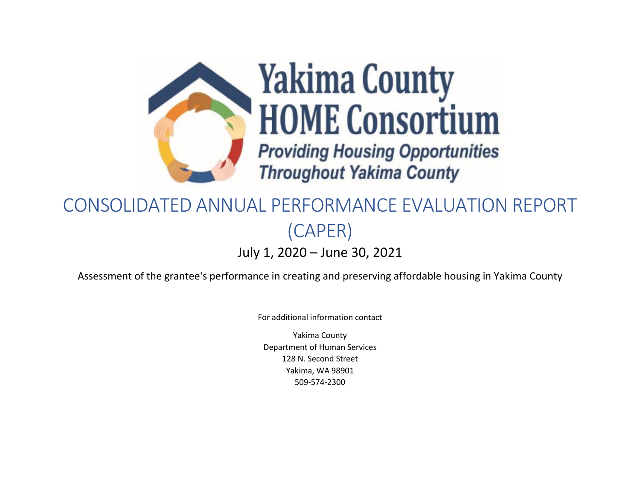

# CONSOLIDATED ANNUAL PERFORMANCE EVALUATION REPORT (CAPER) July 1, 2020 – June 30, 2021

Assessment of the grantee's performance in creating and preserving affordable housing in Yakima County

For additional information contact

Yakima County Department of Human Services 128 N. Second Street Yakima, WA 98901 509-574-2300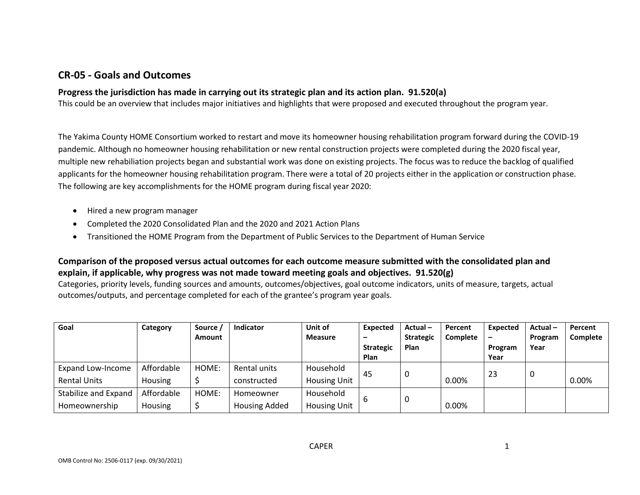### **CR-05 - Goals and Outcomes**

#### **Progress the jurisdiction has made in carrying out its strategic plan and its action plan. 91.520(a)**

This could be an overview that includes major initiatives and highlights that were proposed and executed throughout the program year.

The Yakima County HOME Consortium worked to restart and move its homeowner housing rehabilitation program forward during the COVID-19 pandemic. Although no homeowner housing rehabilitation or new rental construction projects were completed during the 2020 fiscal year, multiple new rehabiliation projects began and substantial work was done on existing projects. The focus was to reduce the backlog of qualified applicants for the homeowner housing rehabilitation program. There were a total of 20 projects either in the application or construction phase. The following are key accomplishments for the HOME program during fiscal year 2020:

- Hired a new program manager
- Completed the 2020 Consolidated Plan and the 2020 and 2021 Action Plans
- Transitioned the HOME Program from the Department of Public Services to the Department of Human Service

### **Comparison of the proposed versus actual outcomes for each outcome measure submitted with the consolidated plan and explain, if applicable, why progress was not made toward meeting goals and objectives. 91.520(g)**

Categories, priority levels, funding sources and amounts, outcomes/objectives, goal outcome indicators, units of measure, targets, actual outcomes/outputs, and percentage completed for each of the grantee's program year goals.

| Goal                     | Category   | Source /      | <b>Indicator</b>     | Unit of             | Expected         | $Actual -$       | Percent         | <b>Expected</b> | Actual- | Percent         |
|--------------------------|------------|---------------|----------------------|---------------------|------------------|------------------|-----------------|-----------------|---------|-----------------|
|                          |            | <b>Amount</b> |                      | <b>Measure</b>      |                  | <b>Strategic</b> | <b>Complete</b> |                 | Program | <b>Complete</b> |
|                          |            |               |                      |                     | <b>Strategic</b> | Plan             |                 | Program         | Year    |                 |
|                          |            |               |                      |                     | Plan             |                  |                 | Year            |         |                 |
| <b>Expand Low-Income</b> | Affordable | HOME:         | Rental units         | Household           | 45               |                  |                 | 23              | 0       |                 |
| <b>Rental Units</b>      | Housing    |               | constructed          | <b>Housing Unit</b> |                  |                  | 0.00%           |                 |         | 0.00%           |
| Stabilize and Expand     | Affordable | HOME:         | Homeowner            | Household           |                  |                  |                 |                 |         |                 |
| Homeownership            | Housing    |               | <b>Housing Added</b> | <b>Housing Unit</b> |                  |                  | 0.00%           |                 |         |                 |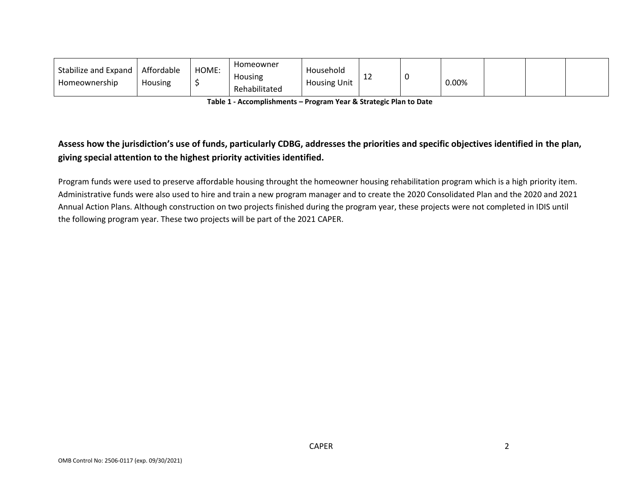| Stabilize and Expand<br>Homeownership | Affordable<br>Housing | HOME: | Homeowner<br>Housing<br>Rehabilitated | Household<br><b>Housing Unit</b> | ᆠ | 0.00% |  |  |
|---------------------------------------|-----------------------|-------|---------------------------------------|----------------------------------|---|-------|--|--|
|                                       |                       |       |                                       |                                  |   |       |  |  |

**Table 1 - Accomplishments – Program Year & Strategic Plan to Date**

### **Assess how the jurisdiction's use of funds, particularly CDBG, addresses the priorities and specific objectives identified in the plan, giving special attention to the highest priority activities identified.**

Program funds were used to preserve affordable housing throught the homeowner housing rehabilitation program which is a high priority item. Administrative funds were also used to hire and train a new program manager and to create the 2020 Consolidated Plan and the 2020 and 2021 Annual Action Plans. Although construction on two projects finished during the program year, these projects were not completed in IDIS until the following program year. These two projects will be part of the 2021 CAPER.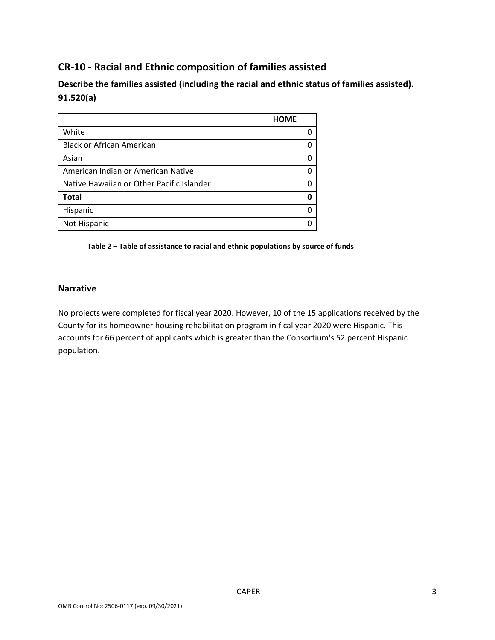# **CR-10 - Racial and Ethnic composition of families assisted**

**Describe the families assisted (including the racial and ethnic status of families assisted). 91.520(a)** 

|                                           | <b>HOME</b> |
|-------------------------------------------|-------------|
| White                                     |             |
| <b>Black or African American</b>          |             |
| Asian                                     |             |
| American Indian or American Native        |             |
| Native Hawaiian or Other Pacific Islander |             |
| <b>Total</b>                              |             |
| Hispanic                                  |             |
| Not Hispanic                              |             |

**Table 2 – Table of assistance to racial and ethnic populations by source of funds**

#### **Narrative**

No projects were completed for fiscal year 2020. However, 10 of the 15 applications received by the County for its homeowner housing rehabilitation program in fical year 2020 were Hispanic. This accounts for 66 percent of applicants which is greater than the Consortium's 52 percent Hispanic population.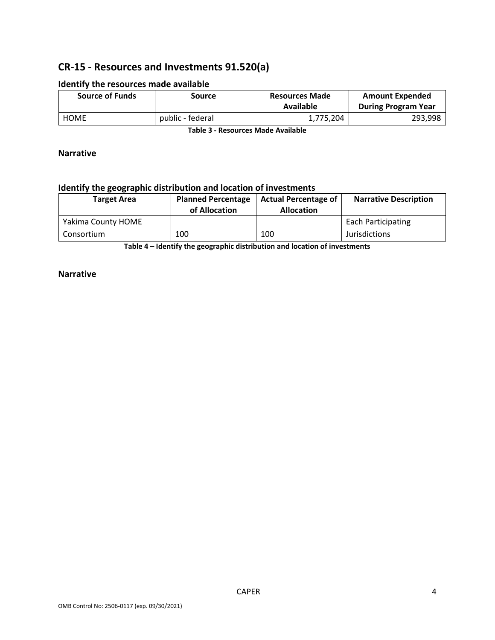# **CR-15 - Resources and Investments 91.520(a)**

| <b>Source of Funds</b> | Source           | <b>Resources Made</b><br>Available | <b>Amount Expended</b><br><b>During Program Year</b> |
|------------------------|------------------|------------------------------------|------------------------------------------------------|
| <b>HOME</b>            | public - federal | 1,775,204                          | 293,998                                              |

#### **Identify the resources made available**

**Table 3 - Resources Made Available**

#### **Narrative**

### **Identify the geographic distribution and location of investments**

| <b>Target Area</b> | <b>Planned Percentage</b><br>of Allocation | <b>Actual Percentage of</b><br><b>Allocation</b> | <b>Narrative Description</b> |
|--------------------|--------------------------------------------|--------------------------------------------------|------------------------------|
| Yakima County HOME |                                            |                                                  | <b>Each Participating</b>    |
| Consortium         | 100                                        | 100                                              | <b>Jurisdictions</b>         |

**Table 4 – Identify the geographic distribution and location of investments**

#### **Narrative**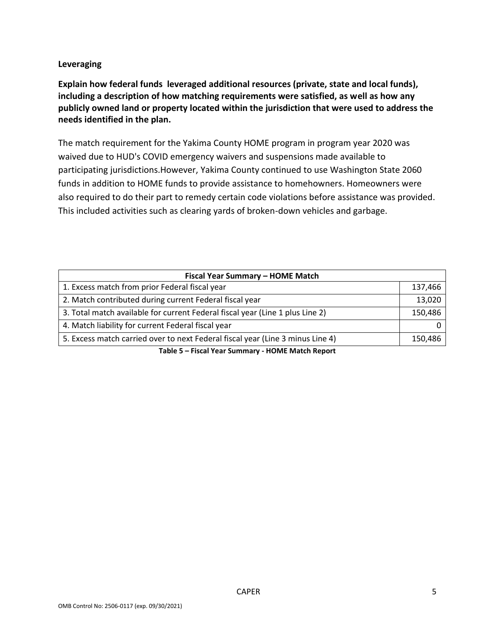### **Leveraging**

**Explain how federal funds leveraged additional resources (private, state and local funds), including a description of how matching requirements were satisfied, as well as how any publicly owned land or property located within the jurisdiction that were used to address the needs identified in the plan.**

The match requirement for the Yakima County HOME program in program year 2020 was waived due to HUD's COVID emergency waivers and suspensions made available to participating jurisdictions.However, Yakima County continued to use Washington State 2060 funds in addition to HOME funds to provide assistance to homehowners. Homeowners were also required to do their part to remedy certain code violations before assistance was provided. This included activities such as clearing yards of broken-down vehicles and garbage.

| Fiscal Year Summary - HOME Match                                               |         |  |  |  |  |  |
|--------------------------------------------------------------------------------|---------|--|--|--|--|--|
| 1. Excess match from prior Federal fiscal year                                 | 137,466 |  |  |  |  |  |
| 2. Match contributed during current Federal fiscal year                        | 13,020  |  |  |  |  |  |
| 3. Total match available for current Federal fiscal year (Line 1 plus Line 2)  | 150,486 |  |  |  |  |  |
| 4. Match liability for current Federal fiscal year                             |         |  |  |  |  |  |
| 5. Excess match carried over to next Federal fiscal year (Line 3 minus Line 4) | 150,486 |  |  |  |  |  |

**Table 5 – Fiscal Year Summary - HOME Match Report**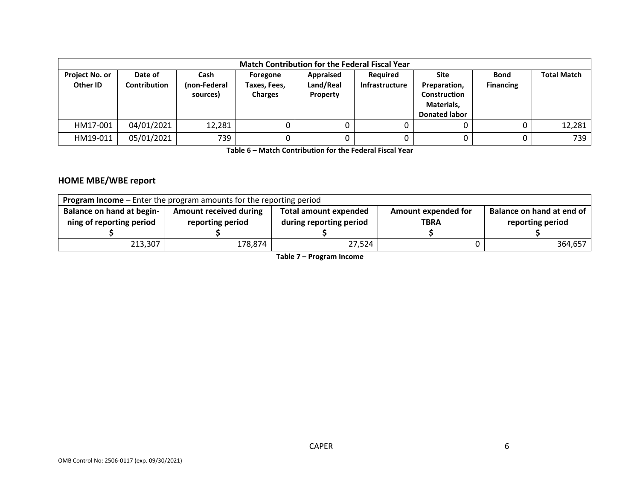| <b>Match Contribution for the Federal Fiscal Year</b> |                                |                                  |                                            |                                    |                            |                                                                                   |                                 |                    |  |  |
|-------------------------------------------------------|--------------------------------|----------------------------------|--------------------------------------------|------------------------------------|----------------------------|-----------------------------------------------------------------------------------|---------------------------------|--------------------|--|--|
| <b>Project No. or</b><br>Other ID                     | Date of<br><b>Contribution</b> | Cash<br>(non-Federal<br>sources) | Foregone<br>Taxes, Fees,<br><b>Charges</b> | Appraised<br>Land/Real<br>Property | Reguired<br>Infrastructure | Site<br>Preparation,<br><b>Construction</b><br>Materials,<br><b>Donated labor</b> | <b>Bond</b><br><b>Financing</b> | <b>Total Match</b> |  |  |
| HM17-001                                              | 04/01/2021                     | 12,281                           |                                            |                                    |                            |                                                                                   |                                 | 12,281             |  |  |
| HM19-011                                              | 05/01/2021                     | 739                              |                                            |                                    |                            |                                                                                   |                                 | 739                |  |  |

**Table 6 – Match Contribution for the Federal Fiscal Year**

### **HOME MBE/WBE report**

| <b>Program Income</b> – Enter the program amounts for the reporting period |                                                   |                                                         |                                    |                                               |  |  |  |  |  |
|----------------------------------------------------------------------------|---------------------------------------------------|---------------------------------------------------------|------------------------------------|-----------------------------------------------|--|--|--|--|--|
| <b>Balance on hand at begin-</b><br>ning of reporting period               | <b>Amount received during</b><br>reporting period | <b>Total amount expended</b><br>during reporting period | Amount expended for<br><b>TBRA</b> | Balance on hand at end of<br>reporting period |  |  |  |  |  |
| 213,307                                                                    | 178,874                                           | 27,524                                                  |                                    | 364,657                                       |  |  |  |  |  |

**Table 7 – Program Income**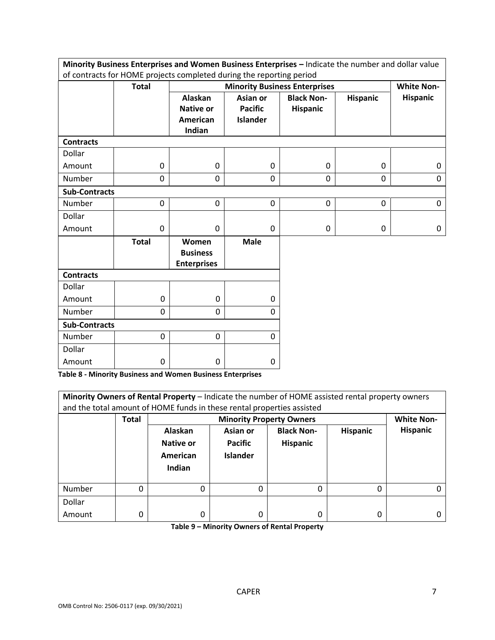|                                                                      | Minority Business Enterprises and Women Business Enterprises - Indicate the number and dollar value |                                                |                 |                                      |                   |                 |  |  |
|----------------------------------------------------------------------|-----------------------------------------------------------------------------------------------------|------------------------------------------------|-----------------|--------------------------------------|-------------------|-----------------|--|--|
| of contracts for HOME projects completed during the reporting period |                                                                                                     |                                                |                 |                                      |                   |                 |  |  |
|                                                                      | <b>Total</b>                                                                                        |                                                |                 | <b>Minority Business Enterprises</b> | <b>White Non-</b> |                 |  |  |
|                                                                      |                                                                                                     | <b>Alaskan</b>                                 | Asian or        | <b>Black Non-</b>                    | <b>Hispanic</b>   | <b>Hispanic</b> |  |  |
|                                                                      |                                                                                                     | <b>Native or</b>                               | <b>Pacific</b>  | <b>Hispanic</b>                      |                   |                 |  |  |
|                                                                      |                                                                                                     | American                                       | <b>Islander</b> |                                      |                   |                 |  |  |
|                                                                      |                                                                                                     | Indian                                         |                 |                                      |                   |                 |  |  |
| <b>Contracts</b>                                                     |                                                                                                     |                                                |                 |                                      |                   |                 |  |  |
| Dollar                                                               |                                                                                                     |                                                |                 |                                      |                   |                 |  |  |
| Amount                                                               | 0                                                                                                   | 0                                              | 0               | $\mathbf{0}$                         | 0                 | 0               |  |  |
| Number                                                               | 0                                                                                                   | 0                                              | 0               | 0                                    | 0                 | 0               |  |  |
| <b>Sub-Contracts</b>                                                 |                                                                                                     |                                                |                 |                                      |                   |                 |  |  |
| Number                                                               | 0                                                                                                   | $\mathbf 0$                                    | 0               | $\mathbf 0$                          | 0                 | 0               |  |  |
| Dollar                                                               |                                                                                                     |                                                |                 |                                      |                   |                 |  |  |
| Amount                                                               | 0                                                                                                   | 0                                              | 0               | 0                                    | 0                 | 0               |  |  |
|                                                                      | <b>Total</b>                                                                                        | Women<br><b>Business</b><br><b>Enterprises</b> | <b>Male</b>     |                                      |                   |                 |  |  |
| <b>Contracts</b>                                                     |                                                                                                     |                                                |                 |                                      |                   |                 |  |  |
| Dollar                                                               |                                                                                                     |                                                |                 |                                      |                   |                 |  |  |
| Amount                                                               | $\mathbf 0$                                                                                         | $\mathbf 0$                                    | 0               |                                      |                   |                 |  |  |
| Number                                                               | 0                                                                                                   | 0                                              | 0               |                                      |                   |                 |  |  |
| <b>Sub-Contracts</b>                                                 |                                                                                                     |                                                |                 |                                      |                   |                 |  |  |
| Number                                                               | 0                                                                                                   | 0                                              | 0               |                                      |                   |                 |  |  |
| Dollar                                                               |                                                                                                     |                                                |                 |                                      |                   |                 |  |  |
| Amount                                                               | 0                                                                                                   | 0                                              | 0               |                                      |                   |                 |  |  |

**Table 8 - Minority Business and Women Business Enterprises**

| Minority Owners of Rental Property - Indicate the number of HOME assisted rental property owners<br>and the total amount of HOME funds in these rental properties assisted |              |                                            |                                                                                                                             |   |   |  |  |  |  |
|----------------------------------------------------------------------------------------------------------------------------------------------------------------------------|--------------|--------------------------------------------|-----------------------------------------------------------------------------------------------------------------------------|---|---|--|--|--|--|
|                                                                                                                                                                            | <b>Total</b> |                                            | <b>Minority Property Owners</b><br><b>White Non-</b>                                                                        |   |   |  |  |  |  |
|                                                                                                                                                                            |              | Alaskan<br>Native or<br>American<br>Indian | <b>Hispanic</b><br><b>Black Non-</b><br><b>Hispanic</b><br>Asian or<br><b>Pacific</b><br><b>Hispanic</b><br><b>Islander</b> |   |   |  |  |  |  |
| Number                                                                                                                                                                     | 0            | 0                                          | O                                                                                                                           | 0 | 0 |  |  |  |  |
| Dollar                                                                                                                                                                     |              |                                            |                                                                                                                             |   |   |  |  |  |  |
| Amount                                                                                                                                                                     | 0            | 0                                          | $\Omega$                                                                                                                    | 0 | 0 |  |  |  |  |

**Table 9 – Minority Owners of Rental Property**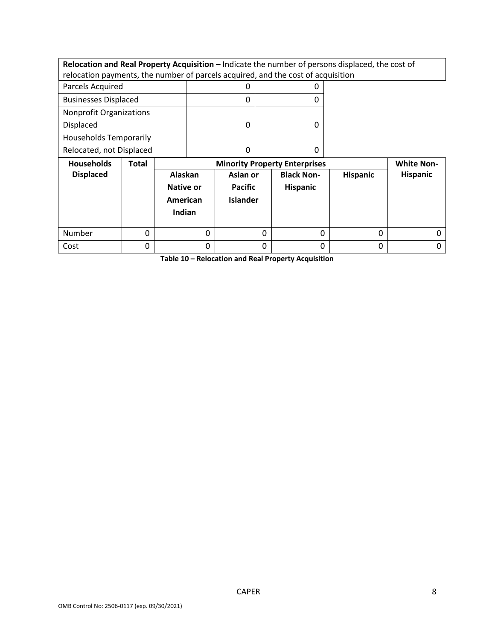| Relocation and Real Property Acquisition - Indicate the number of persons displaced, the cost of |              |           |          |                 |   |                                      |                 |                   |
|--------------------------------------------------------------------------------------------------|--------------|-----------|----------|-----------------|---|--------------------------------------|-----------------|-------------------|
| relocation payments, the number of parcels acquired, and the cost of acquisition                 |              |           |          |                 |   |                                      |                 |                   |
| Parcels Acquired                                                                                 | 0<br>O       |           |          |                 |   |                                      |                 |                   |
| <b>Businesses Displaced</b>                                                                      |              |           |          | 0               |   | 0                                    |                 |                   |
| <b>Nonprofit Organizations</b>                                                                   |              |           |          |                 |   |                                      |                 |                   |
| Displaced                                                                                        |              |           |          | 0               |   | 0                                    |                 |                   |
| <b>Households Temporarily</b>                                                                    |              |           |          |                 |   |                                      |                 |                   |
| Relocated, not Displaced<br>0<br>0                                                               |              |           |          |                 |   |                                      |                 |                   |
|                                                                                                  |              |           |          |                 |   |                                      |                 |                   |
| <b>Households</b>                                                                                | <b>Total</b> |           |          |                 |   | <b>Minority Property Enterprises</b> |                 | <b>White Non-</b> |
| <b>Displaced</b>                                                                                 |              | Alaskan   |          | Asian or        |   | <b>Black Non-</b>                    | <b>Hispanic</b> | <b>Hispanic</b>   |
|                                                                                                  |              | Native or |          | <b>Pacific</b>  |   | <b>Hispanic</b>                      |                 |                   |
|                                                                                                  |              | American  |          | <b>Islander</b> |   |                                      |                 |                   |
|                                                                                                  |              | Indian    |          |                 |   |                                      |                 |                   |
|                                                                                                  |              |           |          |                 |   |                                      |                 |                   |
| Number                                                                                           | 0            |           | $\Omega$ |                 | 0 | $\Omega$                             | 0               | ი                 |

**Table 10 – Relocation and Real Property Acquisition**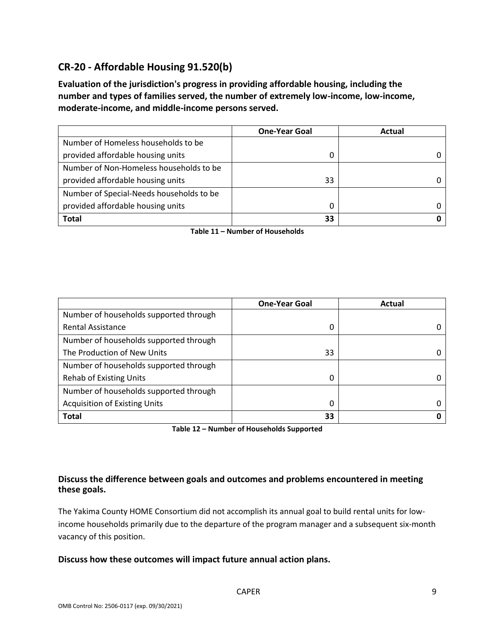# **CR-20 - Affordable Housing 91.520(b)**

**Evaluation of the jurisdiction's progress in providing affordable housing, including the number and types of families served, the number of extremely low-income, low-income, moderate-income, and middle-income persons served.**

|                                          | <b>One-Year Goal</b> | Actual |
|------------------------------------------|----------------------|--------|
| Number of Homeless households to be      |                      |        |
| provided affordable housing units        | O                    |        |
| Number of Non-Homeless households to be  |                      |        |
| provided affordable housing units        | 33                   |        |
| Number of Special-Needs households to be |                      |        |
| provided affordable housing units        | 0                    |        |
| <b>Total</b>                             | 33                   |        |

**Table 11 – Number of Households**

|                                        | <b>One-Year Goal</b> | Actual |
|----------------------------------------|----------------------|--------|
| Number of households supported through |                      |        |
| <b>Rental Assistance</b>               | 0                    |        |
| Number of households supported through |                      |        |
| The Production of New Units            | 33                   |        |
| Number of households supported through |                      |        |
| <b>Rehab of Existing Units</b>         | 0                    |        |
| Number of households supported through |                      |        |
| <b>Acquisition of Existing Units</b>   | 0                    |        |
| <b>Total</b>                           | 33                   |        |

**Table 12 – Number of Households Supported**

### **Discuss the difference between goals and outcomes and problems encountered in meeting these goals.**

The Yakima County HOME Consortium did not accomplish its annual goal to build rental units for lowincome households primarily due to the departure of the program manager and a subsequent six-month vacancy of this position.

#### **Discuss how these outcomes will impact future annual action plans.**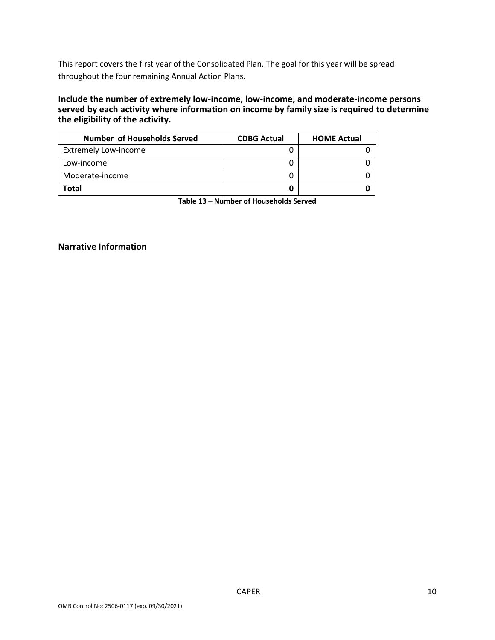This report covers the first year of the Consolidated Plan. The goal for this year will be spread throughout the four remaining Annual Action Plans.

#### **Include the number of extremely low-income, low-income, and moderate-income persons served by each activity where information on income by family size is required to determine the eligibility of the activity.**

| <b>Number of Households Served</b> | <b>CDBG Actual</b> | <b>HOME Actual</b> |
|------------------------------------|--------------------|--------------------|
| <b>Extremely Low-income</b>        |                    |                    |
| Low-income                         |                    |                    |
| Moderate-income                    |                    |                    |
| Total                              |                    |                    |

**Table 13 – Number of Households Served**

#### **Narrative Information**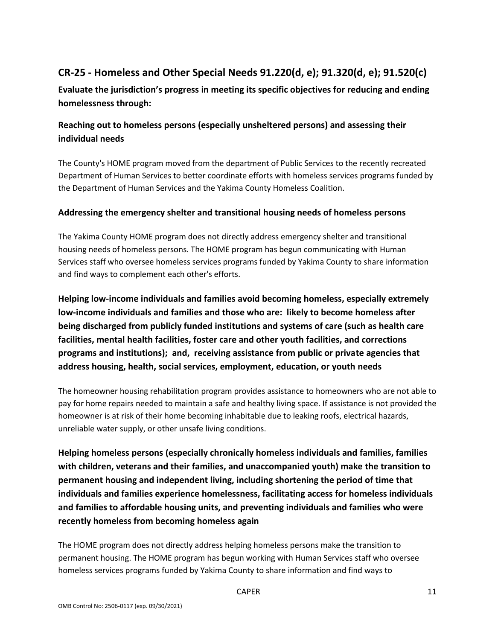# **CR-25 - Homeless and Other Special Needs 91.220(d, e); 91.320(d, e); 91.520(c)**

**Evaluate the jurisdiction's progress in meeting its specific objectives for reducing and ending homelessness through:**

### **Reaching out to homeless persons (especially unsheltered persons) and assessing their individual needs**

The County's HOME program moved from the department of Public Services to the recently recreated Department of Human Services to better coordinate efforts with homeless services programs funded by the Department of Human Services and the Yakima County Homeless Coalition.

### **Addressing the emergency shelter and transitional housing needs of homeless persons**

The Yakima County HOME program does not directly address emergency shelter and transitional housing needs of homeless persons. The HOME program has begun communicating with Human Services staff who oversee homeless services programs funded by Yakima County to share information and find ways to complement each other's efforts.

**Helping low-income individuals and families avoid becoming homeless, especially extremely low-income individuals and families and those who are: likely to become homeless after being discharged from publicly funded institutions and systems of care (such as health care facilities, mental health facilities, foster care and other youth facilities, and corrections programs and institutions); and, receiving assistance from public or private agencies that address housing, health, social services, employment, education, or youth needs**

The homeowner housing rehabilitation program provides assistance to homeowners who are not able to pay for home repairs needed to maintain a safe and healthy living space. If assistance is not provided the homeowner is at risk of their home becoming inhabitable due to leaking roofs, electrical hazards, unreliable water supply, or other unsafe living conditions.

**Helping homeless persons (especially chronically homeless individuals and families, families with children, veterans and their families, and unaccompanied youth) make the transition to permanent housing and independent living, including shortening the period of time that individuals and families experience homelessness, facilitating access for homeless individuals and families to affordable housing units, and preventing individuals and families who were recently homeless from becoming homeless again**

The HOME program does not directly address helping homeless persons make the transition to permanent housing. The HOME program has begun working with Human Services staff who oversee homeless services programs funded by Yakima County to share information and find ways to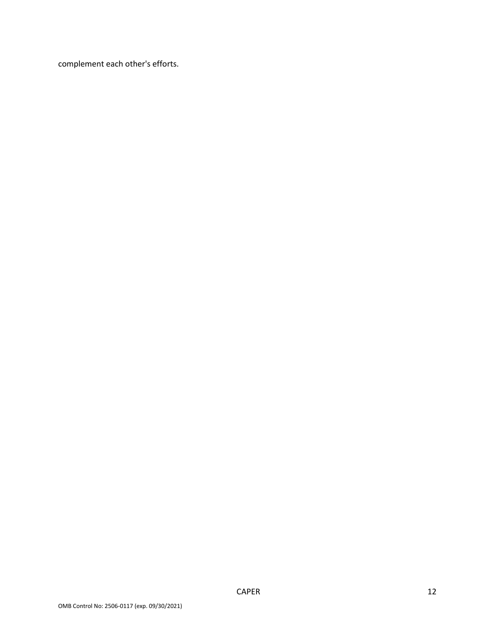complement each other's efforts.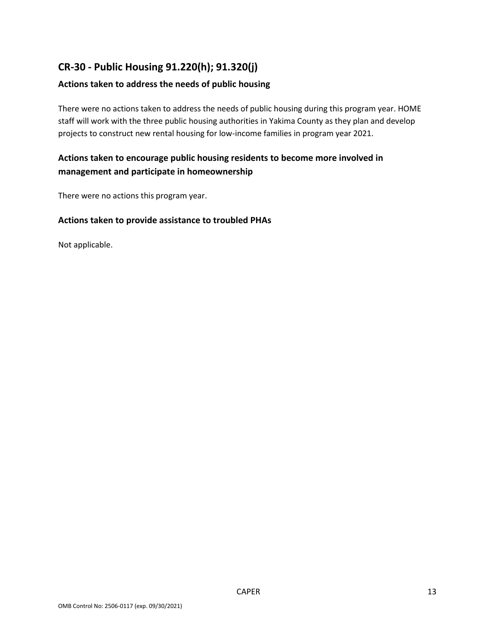# **CR-30 - Public Housing 91.220(h); 91.320(j)**

### **Actions taken to address the needs of public housing**

There were no actions taken to address the needs of public housing during this program year. HOME staff will work with the three public housing authorities in Yakima County as they plan and develop projects to construct new rental housing for low-income families in program year 2021.

### **Actions taken to encourage public housing residents to become more involved in management and participate in homeownership**

There were no actions this program year.

#### **Actions taken to provide assistance to troubled PHAs**

Not applicable.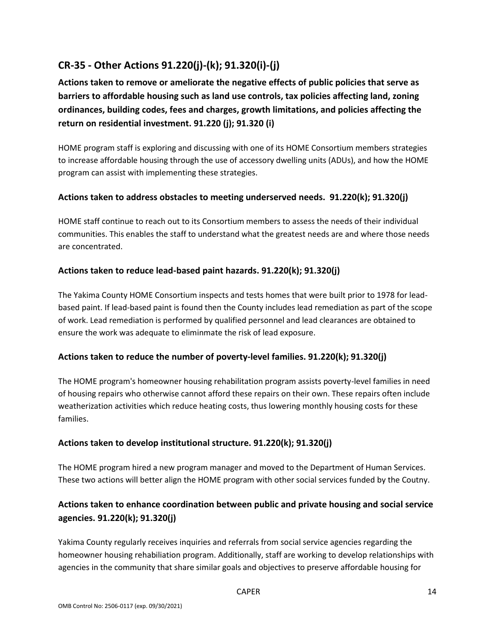# **CR-35 - Other Actions 91.220(j)-(k); 91.320(i)-(j)**

**Actions taken to remove or ameliorate the negative effects of public policies that serve as barriers to affordable housing such as land use controls, tax policies affecting land, zoning ordinances, building codes, fees and charges, growth limitations, and policies affecting the return on residential investment. 91.220 (j); 91.320 (i)**

HOME program staff is exploring and discussing with one of its HOME Consortium members strategies to increase affordable housing through the use of accessory dwelling units (ADUs), and how the HOME program can assist with implementing these strategies.

### **Actions taken to address obstacles to meeting underserved needs. 91.220(k); 91.320(j)**

HOME staff continue to reach out to its Consortium members to assess the needs of their individual communities. This enables the staff to understand what the greatest needs are and where those needs are concentrated.

### **Actions taken to reduce lead-based paint hazards. 91.220(k); 91.320(j)**

The Yakima County HOME Consortium inspects and tests homes that were built prior to 1978 for leadbased paint. If lead-based paint is found then the County includes lead remediation as part of the scope of work. Lead remediation is performed by qualified personnel and lead clearances are obtained to ensure the work was adequate to eliminmate the risk of lead exposure.

### **Actions taken to reduce the number of poverty-level families. 91.220(k); 91.320(j)**

The HOME program's homeowner housing rehabilitation program assists poverty-level families in need of housing repairs who otherwise cannot afford these repairs on their own. These repairs often include weatherization activities which reduce heating costs, thus lowering monthly housing costs for these families.

### **Actions taken to develop institutional structure. 91.220(k); 91.320(j)**

The HOME program hired a new program manager and moved to the Department of Human Services. These two actions will better align the HOME program with other social services funded by the Coutny.

### **Actions taken to enhance coordination between public and private housing and social service agencies. 91.220(k); 91.320(j)**

Yakima County regularly receives inquiries and referrals from social service agencies regarding the homeowner housing rehabiliation program. Additionally, staff are working to develop relationships with agencies in the community that share similar goals and objectives to preserve affordable housing for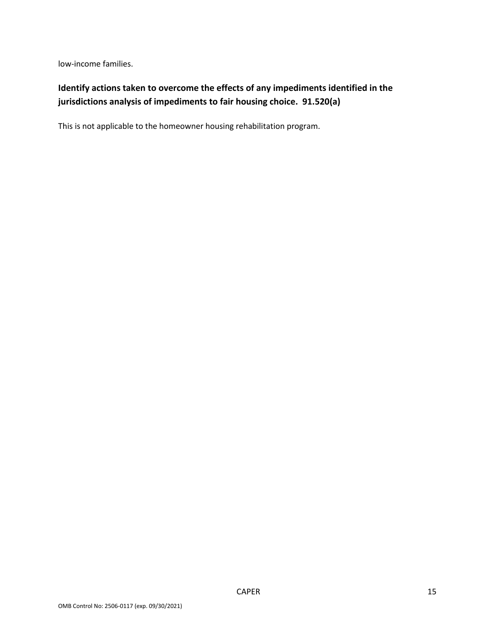low-income families.

# **Identify actions taken to overcome the effects of any impediments identified in the jurisdictions analysis of impediments to fair housing choice. 91.520(a)**

This is not applicable to the homeowner housing rehabilitation program.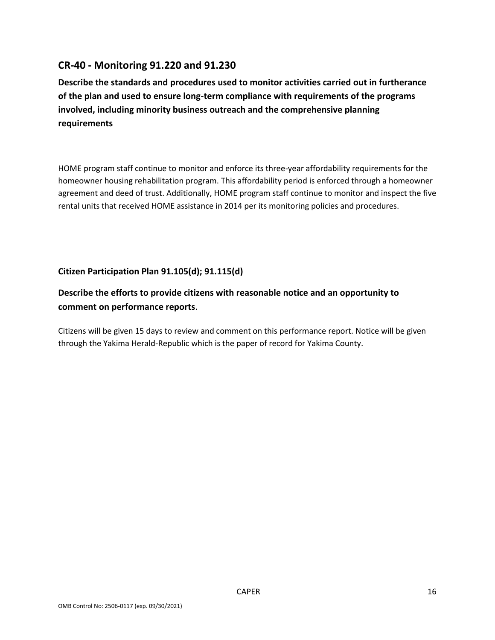### **CR-40 - Monitoring 91.220 and 91.230**

**Describe the standards and procedures used to monitor activities carried out in furtherance of the plan and used to ensure long-term compliance with requirements of the programs involved, including minority business outreach and the comprehensive planning requirements**

HOME program staff continue to monitor and enforce its three-year affordability requirements for the homeowner housing rehabilitation program. This affordability period is enforced through a homeowner agreement and deed of trust. Additionally, HOME program staff continue to monitor and inspect the five rental units that received HOME assistance in 2014 per its monitoring policies and procedures.

### **Citizen Participation Plan 91.105(d); 91.115(d)**

### **Describe the efforts to provide citizens with reasonable notice and an opportunity to comment on performance reports**.

Citizens will be given 15 days to review and comment on this performance report. Notice will be given through the Yakima Herald-Republic which is the paper of record for Yakima County.